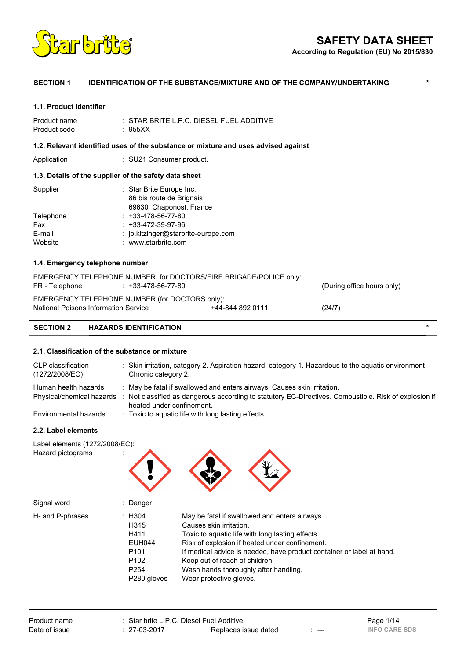

**According to Regulation (EU) No 2015/830**

# **SECTION 1 IDENTIFICATION OF THE SUBSTANCE/MIXTURE AND OF THE COMPANY/UNDERTAKING \***

#### **1.1. Product identifier**

| Product name | $\pm$ STAR BRITE L.P.C. DIESEL FUEL ADDITIVE |
|--------------|----------------------------------------------|
| Product code | : 955XX                                      |

### **1.2. Relevant identified uses of the substance or mixture and uses advised against**

Application : SU21 Consumer product.

# **1.3. Details of the supplier of the safety data sheet**

| Supplier  | : Star Brite Europe Inc.            |
|-----------|-------------------------------------|
|           | 86 bis route de Brignais            |
|           | 69630 Chaponost, France             |
| Telephone | $: +33-478-56-77-80$                |
| Fax       | $: +33-472-39-97-96$                |
| E-mail    | : jp.kitzinger@starbrite-europe.com |
| Website   | : www.starbrite.com                 |
|           |                                     |

### **1.4. Emergency telephone number**

| <b>SECTION 2</b> | <b>HAZARDS IDENTIFICATION</b>                                                           |                  |                            | $\ast$ |
|------------------|-----------------------------------------------------------------------------------------|------------------|----------------------------|--------|
|                  | EMERGENCY TELEPHONE NUMBER (for DOCTORS only):<br>National Poisons Information Service  | +44-844 892 0111 | (24/7)                     |        |
| FR - Telephone   | EMERGENCY TELEPHONE NUMBER, for DOCTORS/FIRE BRIGADE/POLICE only:<br>: +33-478-56-77-80 |                  | (During office hours only) |        |

#### **2.1. Classification of the substance or mixture**

| CLP classification<br>(1272/2008/EC)              | : Skin irritation, category 2. Aspiration hazard, category 1. Hazardous to the aquatic environment -<br>Chronic category 2.                                                      |
|---------------------------------------------------|----------------------------------------------------------------------------------------------------------------------------------------------------------------------------------|
| Human health hazards<br>Physical/chemical hazards | : May be fatal if swallowed and enters airways. Causes skin irritation.<br>: Not classified as dangerous according to statutory EC-Directives. Combustible. Risk of explosion if |
|                                                   | heated under confinement.                                                                                                                                                        |
| Environmental hazards                             | : Toxic to aquatic life with long lasting effects.                                                                                                                               |

#### **2.2. Label elements**

| Label elements (1272/2008/EC):<br>Hazard pictograms | ٠<br>$\blacksquare$ |  |  |
|-----------------------------------------------------|---------------------|--|--|
|                                                     |                     |  |  |
| Signal word                                         | Danger<br>٠         |  |  |

| Signal word      | : Danger                                                                                                                       |                                                                                                                                                                                                                                                                                                                                                               |
|------------------|--------------------------------------------------------------------------------------------------------------------------------|---------------------------------------------------------------------------------------------------------------------------------------------------------------------------------------------------------------------------------------------------------------------------------------------------------------------------------------------------------------|
| H- and P-phrases | : H304<br>H315<br>H411<br><b>EUH044</b><br>P <sub>101</sub><br>P <sub>102</sub><br>P <sub>264</sub><br>P <sub>280</sub> qloves | May be fatal if swallowed and enters airways.<br>Causes skin irritation.<br>Toxic to aquatic life with long lasting effects.<br>Risk of explosion if heated under confinement.<br>If medical advice is needed, have product container or label at hand.<br>Keep out of reach of children.<br>Wash hands thoroughly after handling.<br>Wear protective gloves. |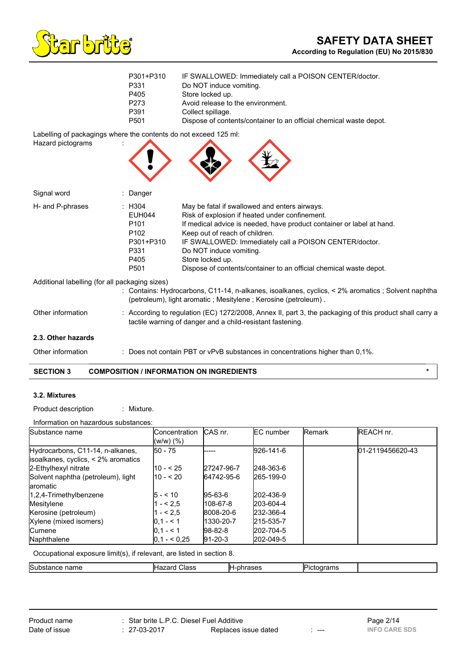

| P301+P310        | IF SWALLOWED: Immediately call a POISON CENTER/doctor.             |
|------------------|--------------------------------------------------------------------|
| P331             | Do NOT induce vomiting.                                            |
| P405             | Store locked up.                                                   |
| P273             | Avoid release to the environment.                                  |
| P391             | Collect spillage.                                                  |
| P <sub>501</sub> | Dispose of contents/container to an official chemical waste depot. |

Labelling of packagings where the contents do not exceed 125 ml:

| Hazard pictograms                              |                                                                                                                  |                                                                                                                                                                                                                                                                                                                                                                                           |
|------------------------------------------------|------------------------------------------------------------------------------------------------------------------|-------------------------------------------------------------------------------------------------------------------------------------------------------------------------------------------------------------------------------------------------------------------------------------------------------------------------------------------------------------------------------------------|
| Signal word                                    | : Danger                                                                                                         |                                                                                                                                                                                                                                                                                                                                                                                           |
| H- and P-phrases                               | : H304<br><b>EUH044</b><br>P <sub>101</sub><br>P <sub>102</sub><br>P301+P310<br>P331<br>P405<br>P <sub>501</sub> | May be fatal if swallowed and enters airways.<br>Risk of explosion if heated under confinement.<br>If medical advice is needed, have product container or label at hand.<br>Keep out of reach of children.<br>IF SWALLOWED: Immediately call a POISON CENTER/doctor.<br>Do NOT induce vomiting.<br>Store locked up.<br>Dispose of contents/container to an official chemical waste depot. |
| Additional labelling (for all packaging sizes) |                                                                                                                  | : Contains: Hydrocarbons, C11-14, n-alkanes, isoalkanes, cyclics, < 2% aromatics ; Solvent naphtha<br>(petroleum), light aromatic; Mesitylene; Kerosine (petroleum).                                                                                                                                                                                                                      |

**2.3. Other hazards**

Other information : Does not contain PBT or vPvB substances in concentrations higher than 0,1%.

Other information : According to regulation (EC) 1272/2008, Annex II, part 3, the packaging of this product shall carry a

tactile warning of danger and a child-resistant fastening.

# **SECTION 3 COMPOSITION / INFORMATION ON INGREDIENTS \***

## **3.2. Mixtures**

Product description : Mixture.

Information on hazardous substances:

| Substance name                      | <b>Concentration</b> | CAS nr.     | <b>IEC</b> number | Remark | <b>REACH nr.</b> |
|-------------------------------------|----------------------|-------------|-------------------|--------|------------------|
|                                     | $(W/W)$ $(\%)$       |             |                   |        |                  |
| Hydrocarbons, C11-14, n-alkanes,    | 150 - 75             |             | 926-141-6         |        | 01-2119456620-43 |
| isoalkanes, cyclics, < 2% aromatics |                      |             |                   |        |                  |
| 2-Ethylhexyl nitrate                | l10 - < 25           | 27247-96-7  | 248-363-6         |        |                  |
| Solvent naphtha (petroleum), light  | l10 - < 20           | 64742-95-6  | 265-199-0         |        |                  |
| laromatic                           |                      |             |                   |        |                  |
| 1,2,4-Trimethylbenzene              | l5 - < 10            | $95-63-6$   | 202-436-9         |        |                  |
| Mesitylene                          | $- < 2.5$            | 108-67-8    | 203-604-4         |        |                  |
| Kerosine (petroleum)                | $- < 2.5$            | 8008-20-6   | 232-366-4         |        |                  |
| Xylene (mixed isomers)              | $ 0, 1 - 1 $         | 1330-20-7   | 215-535-7         |        |                  |
| <b>Cumene</b>                       | $10.1 - 5.1$         | $ 98-82-8 $ | 202-704-5         |        |                  |
| Naphthalene                         | $ 0.1 - 0.25 $       | $ 91-20-3 $ | 202-049-5         |        |                  |

Occupational exposure limit(s), if relevant, are listed in section 8.

| <b>Subs</b><br>$ -$<br>name<br>ПCС<br>. | ш<br>IH.<br>-دەاب<br>____<br>___ | . .<br>ОТ<br>--<br>. | ------<br>76.<br>$\sim$ |  |
|-----------------------------------------|----------------------------------|----------------------|-------------------------|--|
|                                         |                                  |                      |                         |  |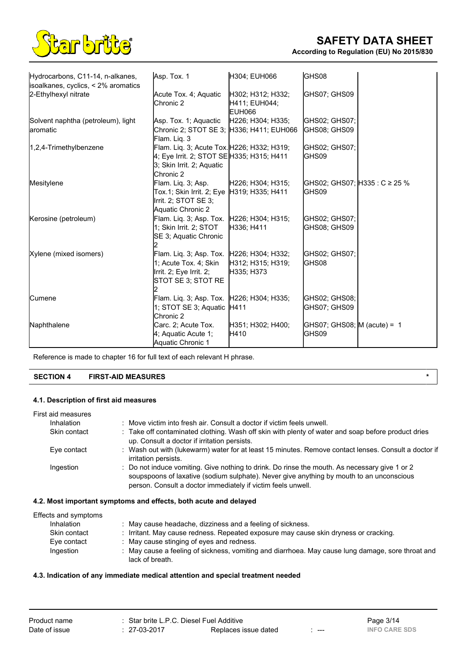

| Hydrocarbons, C11-14, n-alkanes,                                 | Asp. Tox. 1                                                                                                                       | H304; EUH066                                 | GHS08                                  |                                |
|------------------------------------------------------------------|-----------------------------------------------------------------------------------------------------------------------------------|----------------------------------------------|----------------------------------------|--------------------------------|
| isoalkanes, cyclics, $\leq$ 2% aromatics<br>2-Ethylhexyl nitrate | Acute Tox. 4; Aquatic<br>Chronic 2                                                                                                | H302; H312; H332;<br>H411; EUH044;<br>EUH066 | GHS07; GHS09                           |                                |
| Solvent naphtha (petroleum), light<br>aromatic                   | Asp. Tox. 1; Aquactic<br>Chronic 2; STOT SE 3; H336; H411; EUH066<br>Flam. Lig. 3                                                 | H226; H304; H335;                            | GHS02; GHS07;<br>GHS08; GHS09          |                                |
| 1,2,4-Trimethylbenzene                                           | Flam. Liq. 3; Acute Tox. H226; H332; H319;<br>4; Eye Irrit. 2; STOT SE H335; H315; H411<br>3; Skin Irrit. 2; Aquatic<br>Chronic 2 |                                              | GHS02; GHS07;<br>GHS09                 |                                |
| Mesitylene                                                       | Flam. Liq. 3; Asp.<br>Tox.1; Skin Irrit. 2; Eye  H319; H335; H411<br>Irrit. 2; STOT SE 3;<br>Aquatic Chronic 2                    | H226; H304; H315;                            | IGHS09                                 | GHS02; GHS07;  H335 : C ≥ 25 % |
| Kerosine (petroleum)                                             | Flam. Liq. 3; Asp. Tox. H226; H304; H315;<br>1; Skin Irrit. 2; STOT<br>SE 3; Aquatic Chronic                                      | H336; H411                                   | GHS02; GHS07;<br>GHS08; GHS09          |                                |
| Xylene (mixed isomers)                                           | Flam. Liq. 3; Asp. Tox.   H226; H304; H332;<br>1; Acute Tox. 4; Skin<br>Irrit. 2; Eye Irrit. 2;<br>STOT SE 3; STOT RE             | H312; H315; H319;<br>H335; H373              | GHS02; GHS07;<br>IGHS08                |                                |
| Cumene                                                           | Flam. Liq. 3; Asp. Tox. H226; H304; H335;<br>1; STOT SE 3; Aquatic H411<br><b>Chronic 2</b>                                       |                                              | GHS02; GHS08;<br>GHS07; GHS09          |                                |
| Naphthalene                                                      | Carc. 2; Acute Tox.<br>4; Aquatic Acute 1;<br>Aquatic Chronic 1                                                                   | H351; H302; H400;<br><b>H410</b>             | GHS07; GHS08; $M$ (acute) = 1<br>GHS09 |                                |

Reference is made to chapter 16 for full text of each relevant H phrase.

# **SECTION 4 FIRST-AID MEASURES \***

# **4.1. Description of first aid measures**

| First aid measures |                                                                                                                                                                                                                                                           |
|--------------------|-----------------------------------------------------------------------------------------------------------------------------------------------------------------------------------------------------------------------------------------------------------|
| Inhalation         | : Move victim into fresh air. Consult a doctor if victim feels unwell.                                                                                                                                                                                    |
| Skin contact       | : Take off contaminated clothing. Wash off skin with plenty of water and soap before product dries<br>up. Consult a doctor if irritation persists.                                                                                                        |
| Eye contact        | : Wash out with (lukewarm) water for at least 15 minutes. Remove contact lenses. Consult a doctor if<br>irritation persists.                                                                                                                              |
| Ingestion          | : Do not induce vomiting. Give nothing to drink. Do rinse the mouth. As necessary give 1 or 2<br>soupspoons of laxative (sodium sulphate). Never give anything by mouth to an unconscious<br>person. Consult a doctor immediately if victim feels unwell. |

# **4.2. Most important symptoms and effects, both acute and delayed**

| Effects and symptoms |                                                                                                                      |
|----------------------|----------------------------------------------------------------------------------------------------------------------|
| <b>Inhalation</b>    | : May cause headache, dizziness and a feeling of sickness.                                                           |
| Skin contact         | Irritant. May cause redness. Repeated exposure may cause skin dryness or cracking.                                   |
| Eve contact          | : May cause stinging of eyes and redness.                                                                            |
| Ingestion            | : May cause a feeling of sickness, vomiting and diarrhoea. May cause lung damage, sore throat and<br>lack of breath. |

## **4.3. Indication of any immediate medical attention and special treatment needed**

| Product name  | Star brite L.P.C. Diesel Fuel Additive |                      |       | Page 3/14            |
|---------------|----------------------------------------|----------------------|-------|----------------------|
| Date of issue | 27-03-2017                             | Replaces issue dated | $---$ | <b>INFO CARE SDS</b> |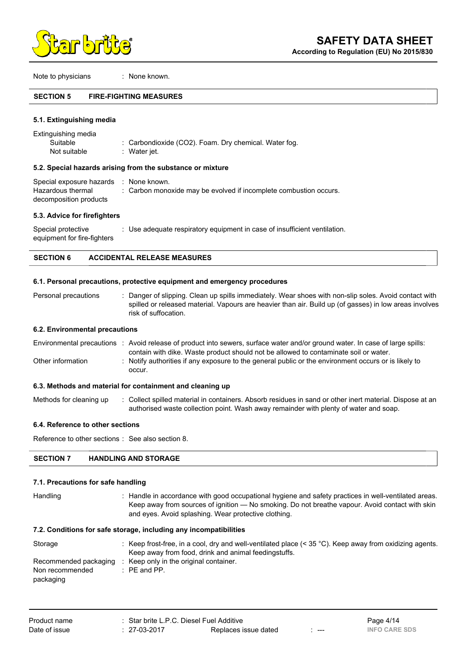

Note to physicians : None known.

#### **SECTION 5 FIRE-FIGHTING MEASURES**

#### **5.1. Extinguishing media**

| Extinguishing media |                                                       |
|---------------------|-------------------------------------------------------|
| Suitable            | : Carbondioxide (CO2). Foam. Dry chemical. Water fog. |
| Not suitable        | : Water jet.                                          |

#### **5.2. Special hazards arising from the substance or mixture**

| Special exposure hazards : None known. |                                                                   |
|----------------------------------------|-------------------------------------------------------------------|
| Hazardous thermal                      | : Carbon monoxide may be evolved if incomplete combustion occurs. |
| decomposition products                 |                                                                   |

#### **5.3. Advice for firefighters**

Special protective equipment for fire-fighters : Use adequate respiratory equipment in case of insufficient ventilation.

## **SECTION 6 ACCIDENTAL RELEASE MEASURES**

#### **6.1. Personal precautions, protective equipment and emergency procedures**

Personal precautions : Danger of slipping. Clean up spills immediately. Wear shoes with non-slip soles. Avoid contact with spilled or released material. Vapours are heavier than air. Build up (of gasses) in low areas involves risk of suffocation.

### **6.2. Environmental precautions**

|                   | Environmental precautions : Avoid release of product into sewers, surface water and/or ground water. In case of large spills: |
|-------------------|-------------------------------------------------------------------------------------------------------------------------------|
|                   | contain with dike. Waste product should not be allowed to contaminate soil or water.                                          |
| Other information | : Notify authorities if any exposure to the general public or the environment occurs or is likely to                          |
|                   | occur.                                                                                                                        |

#### **6.3. Methods and material for containment and cleaning up**

Methods for cleaning up : Collect spilled material in containers. Absorb residues in sand or other inert material. Dispose at an authorised waste collection point. Wash away remainder with plenty of water and soap.

### **6.4. Reference to other sections**

Reference to other sections : See also section 8.

#### **SECTION 7 HANDLING AND STORAGE**

#### **7.1. Precautions for safe handling**

Handling : Handle in accordance with good occupational hygiene and safety practices in well-ventilated areas. Keep away from sources of ignition — No smoking. Do not breathe vapour. Avoid contact with skin and eyes. Avoid splashing. Wear protective clothing.

#### **7.2. Conditions for safe storage, including any incompatibilities**

| Storage               | Keep frost-free, in a cool, dry and well-ventilated place $(< 35 °C)$ . Keep away from oxidizing agents.<br>Keep away from food, drink and animal feedingstuffs. |
|-----------------------|------------------------------------------------------------------------------------------------------------------------------------------------------------------|
|                       |                                                                                                                                                                  |
| Recommended packaging | Keep only in the original container.                                                                                                                             |
| Non recommended       | $\therefore$ PE and PP.                                                                                                                                          |
| packaging             |                                                                                                                                                                  |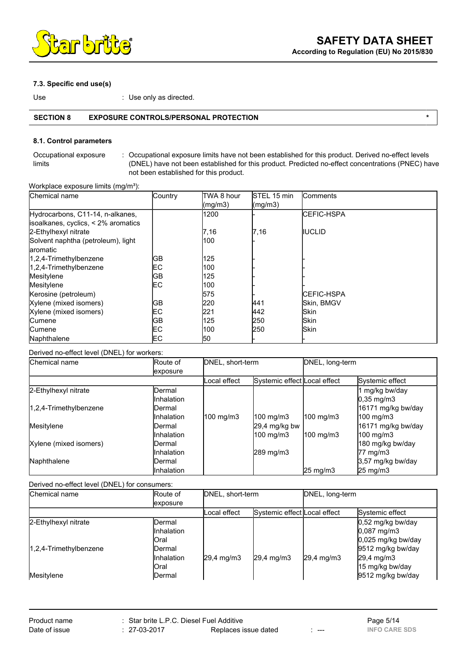

## **7.3. Specific end use(s)**

Use  $\qquad \qquad \qquad$  : Use only as directed.

# **SECTION 8 EXPOSURE CONTROLS/PERSONAL PROTECTION \***

# **8.1. Control parameters**

Occupational exposure limits : Occupational exposure limits have not been established for this product. Derived no-effect levels (DNEL) have not been established for this product. Predicted no-effect concentrations (PNEC) have not been established for this product.

Workplace exposure limits (mg/m<sup>3</sup>):

| Chemical name                            | Country | ITWA 8 hour      | <b>STEL 15 min</b>           | <b>Comments</b>    |
|------------------------------------------|---------|------------------|------------------------------|--------------------|
|                                          |         | $\text{(mg/m3)}$ | $\left(\frac{mg}{m3}\right)$ |                    |
| Hydrocarbons, C11-14, n-alkanes,         |         | 1200             |                              | <b>ICEFIC-HSPA</b> |
| isoalkanes, cyclics, $\leq$ 2% aromatics |         |                  |                              |                    |
| 2-Ethylhexyl nitrate                     |         | 7,16             | 7,16                         | <b>IIUCLID</b>     |
| Solvent naphtha (petroleum), light       |         | 100              |                              |                    |
| laromatic                                |         |                  |                              |                    |
| 1,2,4-Trimethylbenzene                   | GВ      | 125              |                              |                    |
| 1,2,4-Trimethylbenzene                   | EС      | 1100             |                              |                    |
| Mesitylene                               | GВ      | 125              |                              |                    |
| Mesitylene                               | EС      | 100              |                              |                    |
| Kerosine (petroleum)                     |         | 575              |                              | <b>ICEFIC-HSPA</b> |
| Xylene (mixed isomers)                   | GВ      | 220              | 441                          | Skin, BMGV         |
| Xylene (mixed isomers)                   | EС      | 221              | 442                          | <b>Skin</b>        |
| <b>Cumene</b>                            | lGВ     | 125              | 250                          | <b>Skin</b>        |
| <b>Cumene</b>                            | EС      | 100              | 250                          | <b>Skin</b>        |
| Naphthalene                              | EС      | 50               |                              |                    |

Derived no-effect level (DNEL) for workers:

| Chemical name          | Route of            | DNEL, short-term |                              | DNEL, long-term   |                     |
|------------------------|---------------------|------------------|------------------------------|-------------------|---------------------|
|                        | exposure            |                  |                              |                   |                     |
|                        |                     | Local effect     | Systemic effect Local effect |                   | Systemic effect     |
| 2-Ethylhexyl nitrate   | lDermal             |                  |                              |                   | mg/kg bw/day        |
|                        | <b>I</b> Inhalation |                  |                              |                   | $0,35$ mg/m $3$     |
| 1,2,4-Trimethylbenzene | lDermal             |                  |                              |                   | 16171 mg/kg bw/day  |
|                        | <b>Inhalation</b>   | $100$ mg/m3      | $100$ mg/m3                  | 100 mg/m3         | $100$ mg/m3         |
| Mesitylene             | IDermal             |                  | 29,4 mg/kg bw                |                   | 16171 mg/kg bw/day  |
|                        | <b>Inhalation</b>   |                  | 100 mg/m3                    | 100 mg/m3         | $100$ mg/m3         |
| Xylene (mixed isomers) | IDermal             |                  |                              |                   | 180 mg/kg bw/day    |
|                        | <b>I</b> Inhalation |                  | 289 mg/m3                    |                   | $77 \text{ mg/m}$ 3 |
| Naphthalene            | IDermal             |                  |                              |                   | 3,57 mg/kg bw/day   |
|                        | llnhalation         |                  |                              | $25 \text{ mg/m}$ | $25 \text{ mg/m}$   |

Derived no-effect level (DNEL) for consumers:

| Chemical name                        | Route of                                                        | DNEL, short-term    |                              | DNEL, long-term |                                                                                     |
|--------------------------------------|-----------------------------------------------------------------|---------------------|------------------------------|-----------------|-------------------------------------------------------------------------------------|
|                                      | <i>exposure</i>                                                 |                     |                              |                 |                                                                                     |
|                                      |                                                                 | Local effect        | Systemic effect Local effect |                 | Systemic effect                                                                     |
| 2-Ethylhexyl nitrate                 | lDermal<br><b>Inhalation</b><br><b>I</b> Oral                   |                     |                              |                 | 0,52 mg/kg bw/day<br>$0,087$ mg/m3<br>0,025 mg/kg bw/day                            |
| 1,2,4-Trimethylbenzene<br>Mesitylene | IDermal<br><b>Inhalation</b><br><b>I</b> Oral<br><b>IDermal</b> | $29.4 \text{ mg/m}$ | $29,4 \, mg/m3$              | $29,4 \, mg/m3$ | 9512 mg/kg bw/day<br>$29,4 \, \text{mg/m3}$<br>15 mg/kg bw/day<br>9512 mg/kg bw/day |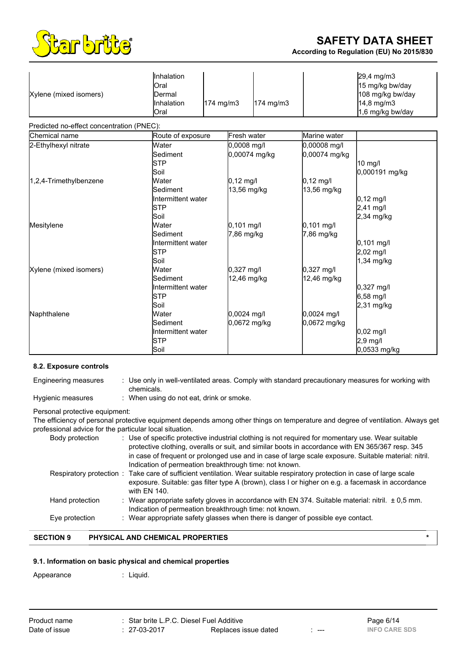

**According to Regulation (EU) No 2015/830**

| Xylene (mixed isomers)                    | <b>Inhalation</b><br>Oral<br>Dermal<br>Inhalation<br>Oral            | 174 mg/m3                  | 174 mg/m3     |                               | 29,4 mg/m3<br>15 mg/kg bw/day<br>108 mg/kg bw/day<br>14,8 mg/m3<br>1,6 mg/kg bw/day |
|-------------------------------------------|----------------------------------------------------------------------|----------------------------|---------------|-------------------------------|-------------------------------------------------------------------------------------|
| Predicted no-effect concentration (PNEC): |                                                                      |                            |               |                               |                                                                                     |
| Chemical name                             | Route of exposure                                                    | Fresh water                |               | Marine water                  |                                                                                     |
| 2-Ethylhexyl nitrate                      | Water<br><b>l</b> Sediment<br><b>STP</b><br>Soil                     | 0,0008 mg/l                | 0,00074 mg/kg | 0,00008 mg/l<br>0,00074 mg/kg | 10 mg/l<br>0,000191 mg/kg                                                           |
| 1,2,4-Trimethylbenzene                    | Water<br><b>Sediment</b><br>Intermittent water<br><b>STP</b><br>Soil | $0,12$ mg/l<br>13,56 mg/kg |               | $0,12$ mg/l<br>13,56 mg/kg    | $0,12 \text{ mg/l}$<br>2,41 mg/l<br>$2,34$ mg/kg                                    |
| Mesitylene                                | Water<br>Sediment<br>Intermittent water<br><b>STP</b><br>Soil        | $0,101$ mg/l<br>7,86 mg/kg |               | 0,101 mg/l<br>7,86 mg/kg      | $0,101$ mg/l<br>2,02 mg/l<br>1,34 mg/kg                                             |
| Xylene (mixed isomers)                    | Water<br>Sediment<br>Intermittent water<br><b>STP</b><br>Soil        | 0,327 mg/l<br>12,46 mg/kg  |               | 0,327 mg/l<br>12,46 mg/kg     | $0,327$ mg/l<br>$6,58$ mg/l<br>$2,31$ mg/kg                                         |
| Naphthalene                               | Water<br>Sediment<br>Intermittent water<br><b>STP</b><br>Soil        | $0,0024$ mg/l              | 0,0672 mg/kg  | 0.0024 mg/l<br>0,0672 mg/kg   | $0,02 \text{ mg/l}$<br>2,9 mg/l<br>0,0533 mg/kg                                     |

#### **8.2. Exposure controls**

| Engineering measures | : Use only in well-ventilated areas. Comply with standard precautionary measures for working with<br>chemicals. |
|----------------------|-----------------------------------------------------------------------------------------------------------------|
| Hygienic measures    | : When using do not eat, drink or smoke.                                                                        |
|                      |                                                                                                                 |

### Personal protective equipment:

The efficiency of personal protective equipment depends among other things on temperature and degree of ventilation. Always get professional advice for the particular local situation.

| Body protection | : Use of specific protective industrial clothing is not required for momentary use. Wear suitable<br>protective clothing, overalls or suit, and similar boots in accordance with EN 365/367 resp. 345                                         |
|-----------------|-----------------------------------------------------------------------------------------------------------------------------------------------------------------------------------------------------------------------------------------------|
|                 | in case of frequent or prolonged use and in case of large scale exposure. Suitable material: nitril.<br>Indication of permeation breakthrough time: not known.                                                                                |
|                 | Respiratory protection: Take care of sufficient ventilation. Wear suitable respiratory protection in case of large scale<br>exposure. Suitable: gas filter type A (brown), class I or higher on e.g. a facemask in accordance<br>with EN 140. |
| Hand protection | : Wear appropriate safety gloves in accordance with EN 374. Suitable material: nitril. $\pm$ 0.5 mm.<br>Indication of permeation breakthrough time: not known.                                                                                |
| Eye protection  | : Wear appropriate safety glasses when there is danger of possible eye contact.                                                                                                                                                               |

# **SECTION 9 PHYSICAL AND CHEMICAL PROPERTIES \***

# **9.1. Information on basic physical and chemical properties**

Appearance : Liquid.

| Product name  | : Star brite L.P.C. Diesel Fuel Additive |                      |      | Page 6/14            |
|---------------|------------------------------------------|----------------------|------|----------------------|
| Date of issue | $: 27-03-2017$                           | Replaces issue dated | ---- | <b>INFO CARE SDS</b> |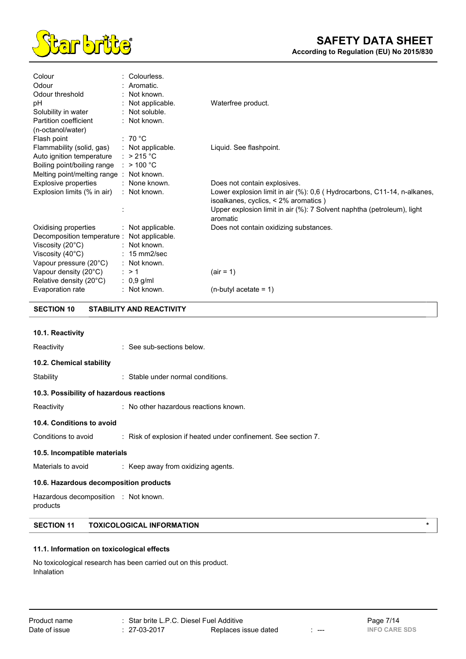

| Colour                                      | : Colourless.           |                                                                         |
|---------------------------------------------|-------------------------|-------------------------------------------------------------------------|
| Odour                                       | : Aromatic.             |                                                                         |
| Odour threshold                             | : Not known.            |                                                                         |
| рH                                          | : Not applicable.       | Waterfree product.                                                      |
| Solubility in water                         | $:$ Not soluble.        |                                                                         |
| Partition coefficient                       | : Not known.            |                                                                         |
| (n-octanol/water)                           |                         |                                                                         |
| Flash point                                 | : 70 °C                 |                                                                         |
| Flammability (solid, gas)                   | $:$ Not applicable.     | Liquid. See flashpoint.                                                 |
| Auto ignition temperature                   | : $>215^{\circ}$ C      |                                                                         |
| Boiling point/boiling range                 | $:$ > 100 °C            |                                                                         |
| Melting point/melting range: Not known.     |                         |                                                                         |
| Explosive properties                        | : None known.           | Does not contain explosives.                                            |
| Explosion limits (% in air)                 | : Not known.            | Lower explosion limit in air (%): 0,6 (Hydrocarbons, C11-14, n-alkanes, |
|                                             |                         | isoalkanes, cyclics, < 2% aromatics)                                    |
|                                             |                         | Upper explosion limit in air (%): 7 Solvent naphtha (petroleum), light  |
|                                             |                         | aromatic                                                                |
| Oxidising properties                        | $:$ Not applicable.     | Does not contain oxidizing substances.                                  |
| Decomposition temperature : Not applicable. |                         |                                                                         |
| Viscosity $(20^{\circ}C)$                   | : Not known.            |                                                                         |
| Viscosity $(40^{\circ}C)$                   | $: 15 \text{ mm}$ 2/sec |                                                                         |
| Vapour pressure (20°C)                      | : Not known.            |                                                                         |
| Vapour density (20°C)                       | $\therefore$ > 1        | $air = 1$                                                               |
| Relative density (20°C)                     | $: 0,9$ g/ml            |                                                                         |
| Evaporation rate                            | : Not known.            | $(n$ -butyl acetate = 1)                                                |

**SECTION 10 STABILITY AND REACTIVITY**

| 10.1. Reactivity                                 |                                                                 |
|--------------------------------------------------|-----------------------------------------------------------------|
| Reactivity                                       | : See sub-sections below.                                       |
| 10.2. Chemical stability                         |                                                                 |
| Stability                                        | : Stable under normal conditions.                               |
| 10.3. Possibility of hazardous reactions         |                                                                 |
| Reactivity                                       | : No other hazardous reactions known.                           |
| 10.4. Conditions to avoid                        |                                                                 |
| Conditions to avoid                              | : Risk of explosion if heated under confinement. See section 7. |
| 10.5. Incompatible materials                     |                                                                 |
| Materials to avoid                               | $\therefore$ Keep away from oxidizing agents.                   |
| 10.6. Hazardous decomposition products           |                                                                 |
| Hazardous decomposition : Not known.<br>products |                                                                 |

# **SECTION 11 TOXICOLOGICAL INFORMATION \***

## **11.1. Information on toxicological effects**

No toxicological research has been carried out on this product. Inhalation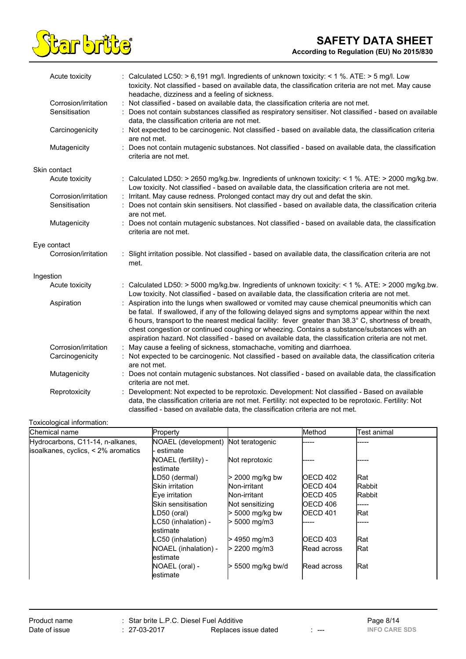

| Acute toxicity       | : Calculated LC50: > 6,191 mg/l. Ingredients of unknown toxicity: < 1 %. ATE: > 5 mg/l. Low<br>toxicity. Not classified - based on available data, the classification criteria are not met. May cause                                                                                                                                                                                                                                                                                                               |
|----------------------|---------------------------------------------------------------------------------------------------------------------------------------------------------------------------------------------------------------------------------------------------------------------------------------------------------------------------------------------------------------------------------------------------------------------------------------------------------------------------------------------------------------------|
|                      | headache, dizziness and a feeling of sickness.                                                                                                                                                                                                                                                                                                                                                                                                                                                                      |
| Corrosion/irritation | Not classified - based on available data, the classification criteria are not met.<br>÷                                                                                                                                                                                                                                                                                                                                                                                                                             |
| Sensitisation        | Does not contain substances classified as respiratory sensitiser. Not classified - based on available<br>data, the classification criteria are not met.                                                                                                                                                                                                                                                                                                                                                             |
| Carcinogenicity      | Not expected to be carcinogenic. Not classified - based on available data, the classification criteria<br>are not met.                                                                                                                                                                                                                                                                                                                                                                                              |
| Mutagenicity         | : Does not contain mutagenic substances. Not classified - based on available data, the classification<br>criteria are not met.                                                                                                                                                                                                                                                                                                                                                                                      |
| Skin contact         |                                                                                                                                                                                                                                                                                                                                                                                                                                                                                                                     |
| Acute toxicity       | : Calculated LD50: > 2650 mg/kg.bw. Ingredients of unknown toxicity: < 1 %. ATE: > 2000 mg/kg.bw.<br>Low toxicity. Not classified - based on available data, the classification criteria are not met.                                                                                                                                                                                                                                                                                                               |
| Corrosion/irritation | Irritant. May cause redness. Prolonged contact may dry out and defat the skin.                                                                                                                                                                                                                                                                                                                                                                                                                                      |
| Sensitisation        | Does not contain skin sensitisers. Not classified - based on available data, the classification criteria<br>are not met.                                                                                                                                                                                                                                                                                                                                                                                            |
| Mutagenicity         | : Does not contain mutagenic substances. Not classified - based on available data, the classification<br>criteria are not met.                                                                                                                                                                                                                                                                                                                                                                                      |
| Eye contact          |                                                                                                                                                                                                                                                                                                                                                                                                                                                                                                                     |
| Corrosion/irritation | Slight irritation possible. Not classified - based on available data, the classification criteria are not<br>met.                                                                                                                                                                                                                                                                                                                                                                                                   |
| Ingestion            |                                                                                                                                                                                                                                                                                                                                                                                                                                                                                                                     |
| Acute toxicity       | : Calculated LD50: > 5000 mg/kg.bw. Ingredients of unknown toxicity: < 1 %. ATE: > 2000 mg/kg.bw.<br>Low toxicity. Not classified - based on available data, the classification criteria are not met.                                                                                                                                                                                                                                                                                                               |
| Aspiration           | : Aspiration into the lungs when swallowed or vomited may cause chemical pneumonitis which can<br>be fatal. If swallowed, if any of the following delayed signs and symptoms appear within the next<br>6 hours, transport to the nearest medical facility: fever greater than 38.3° C, shortness of breath,<br>chest congestion or continued coughing or wheezing. Contains a substance/substances with an<br>aspiration hazard. Not classified - based on available data, the classification criteria are not met. |
| Corrosion/irritation | : May cause a feeling of sickness, stomachache, vomiting and diarrhoea.                                                                                                                                                                                                                                                                                                                                                                                                                                             |
| Carcinogenicity      | Not expected to be carcinogenic. Not classified - based on available data, the classification criteria<br>are not met.                                                                                                                                                                                                                                                                                                                                                                                              |
| Mutagenicity         | Does not contain mutagenic substances. Not classified - based on available data, the classification<br>criteria are not met.                                                                                                                                                                                                                                                                                                                                                                                        |
| Reprotoxicity        | Development: Not expected to be reprotoxic. Development: Not classified - Based on available<br>data, the classification criteria are not met. Fertility: not expected to be reprotoxic. Fertility: Not<br>classified - based on available data, the classification criteria are not met.                                                                                                                                                                                                                           |

# Toxicological information:

| Chemical name                            | Property             |                          | Method           | Test animal   |
|------------------------------------------|----------------------|--------------------------|------------------|---------------|
| Hydrocarbons, C11-14, n-alkanes,         | NOAEL (development)  | Not teratogenic          |                  |               |
| isoalkanes, cyclics, $\leq$ 2% aromatics | estimate             |                          |                  |               |
|                                          | NOAEL (fertility) -  | Not reprotoxic           |                  |               |
|                                          | lestimate            |                          |                  |               |
|                                          | LD50 (dermal)        | $>$ 2000 mg/kg bw        | <b>OECD 402</b>  | <b>Rat</b>    |
|                                          | Skin irritation      | Non-irritant             | IOECD 404        | Rabbit        |
|                                          | Eye irritation       | Non-irritant             | <b>OECD 405</b>  | <b>Rabbit</b> |
|                                          | Skin sensitisation   | Not sensitizing          | <b>IOECD 406</b> |               |
|                                          | LD50 (oral)          | $> 5000$ mg/kg bw        | OECD 401         | lRat          |
|                                          | LC50 (inhalation) -  | $> 5000 \; \text{mq/m3}$ |                  | -----         |
|                                          | lestimate            |                          |                  |               |
|                                          | LC50 (inhalation)    | 4950 mg/m3               | OECD 403         | <b>Rat</b>    |
|                                          | NOAEL (inhalation) - | $> 2200$ mg/m3           | Read across      | Rat           |
|                                          | lestimate            |                          |                  |               |
|                                          | NOAEL (oral) -       | 5500 mg/kg bw/d          | Read across      | Rat           |
|                                          | lestimate            |                          |                  |               |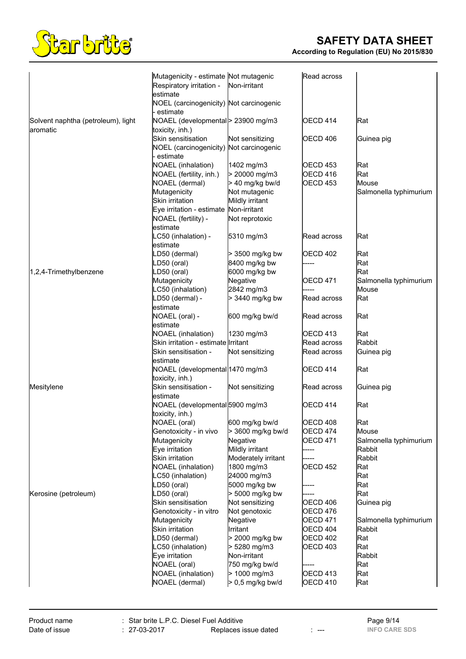

|                                                | Mutagenicity - estimate Not mutagenic                |                           | Read across                 |                        |
|------------------------------------------------|------------------------------------------------------|---------------------------|-----------------------------|------------------------|
|                                                | Respiratory irritation -                             | Non-irritant              |                             |                        |
|                                                | estimate                                             |                           |                             |                        |
|                                                | NOEL (carcinogenicity) Not carcinogenic              |                           |                             |                        |
|                                                | estimate                                             |                           |                             |                        |
| Solvent naphtha (petroleum), light<br>aromatic | NOAEL (developmental> 23900 mg/m3<br>toxicity, inh.) |                           | <b>OECD 414</b>             | Rat                    |
|                                                | Skin sensitisation                                   | Not sensitizing           | OECD 406                    | Guinea pig             |
|                                                | NOEL (carcinogenicity) Not carcinogenic              |                           |                             |                        |
|                                                | estimate                                             |                           |                             |                        |
|                                                | NOAEL (inhalation)                                   | 1402 mg/m3                | <b>OECD 453</b>             | Rat                    |
|                                                | NOAEL (fertility, inh.)                              | > 20000 mg/m3             | OECD 416                    | Rat                    |
|                                                | NOAEL (dermal)                                       | > 40 mg/kg bw/d           | <b>OECD 453</b>             | Mouse                  |
|                                                | Mutagenicity                                         | Not mutagenic             |                             | Salmonella typhimurium |
|                                                | Skin irritation                                      | Mildly irritant           |                             |                        |
|                                                | Eye irritation - estimate                            | Non-irritant              |                             |                        |
|                                                | NOAEL (fertility) -<br>estimate                      | Not reprotoxic            |                             |                        |
|                                                | LC50 (inhalation) -                                  | 5310 mg/m3                | Read across                 | Rat                    |
|                                                | lestimate                                            |                           |                             |                        |
|                                                | LD50 (dermal)                                        | > 3500 mg/kg bw           | <b>OECD 402</b>             | Rat                    |
|                                                | LD50 (oral)                                          | 8400 mg/kg bw             |                             | Rat                    |
| 1,2,4-Trimethylbenzene                         | LD50 (oral)                                          | 6000 mg/kg bw             |                             | Rat                    |
|                                                | Mutagenicity                                         | Negative                  | OECD 471                    | Salmonella typhimurium |
|                                                | LC50 (inhalation)                                    | 2842 mg/m3                |                             | Mouse                  |
|                                                | LD50 (dermal) -                                      | > 3440 mg/kg bw           | Read across                 | Rat                    |
|                                                | estimate                                             |                           |                             |                        |
|                                                | NOAEL (oral) -<br>estimate                           | 600 mg/kg bw/d            | Read across                 | Rat                    |
|                                                | NOAEL (inhalation)                                   | 1230 mg/m3                | OECD 413                    | Rat                    |
|                                                | Skin irritation - estimate Irritant                  |                           | Read across                 | Rabbit                 |
|                                                | Skin sensitisation -                                 | Not sensitizing           | Read across                 | Guinea pig             |
|                                                | lestimate                                            |                           |                             |                        |
|                                                | NOAEL (developmental 1470 mg/m3                      |                           | <b>OECD 414</b>             | Rat                    |
|                                                | toxicity, inh.)                                      |                           |                             |                        |
| Mesitylene                                     | Skin sensitisation -                                 | Not sensitizing           | Read across                 | Guinea pig             |
|                                                | lestimate                                            |                           |                             |                        |
|                                                | NOAEL (developmental 5900 mg/m3                      |                           | <b>OECD 414</b>             | Rat                    |
|                                                | toxicity, inh.)<br>NOAEL (oral)                      | 600 mg/kg bw/d            | OECD 408                    | Rat                    |
|                                                | Genotoxicity - in vivo                               | > 3600 mg/kg bw/d         | OECD 474                    | Mouse                  |
|                                                | Mutagenicity                                         | Negative                  | <b>OECD 471</b>             | Salmonella typhimurium |
|                                                | Eye irritation                                       | Mildly irritant           | ----                        | Rabbit                 |
|                                                | Skin irritation                                      | Moderately irritant       |                             | <b>Rabbit</b>          |
|                                                | <b>NOAEL</b> (inhalation)                            | 1800 mg/m3                | <b>OECD 452</b>             | Rat                    |
|                                                | LC50 (inhalation)                                    | 24000 mg/m3               |                             | Rat                    |
|                                                | D50 (oral)                                           | 5000 mg/kg bw             |                             | Rat                    |
| Kerosine (petroleum)                           | LD50 (oral)                                          | > 5000 mg/kg bw           |                             | Rat                    |
|                                                | Skin sensitisation                                   | Not sensitizing           | OECD 406                    | Guinea pig             |
|                                                | Genotoxicity - in vitro<br>Mutagenicity              | Not genotoxic<br>Negative | OECD 476<br><b>OECD 471</b> | Salmonella typhimurium |
|                                                | Skin irritation                                      | Irritant                  | <b>OECD 404</b>             | Rabbit                 |
|                                                | LD50 (dermal)                                        | > 2000 mg/kg bw           | <b>OECD 402</b>             | Rat                    |
|                                                | LC50 (inhalation)                                    | > 5280 mg/m3              | <b>OECD 403</b>             | Rat                    |
|                                                | Eye irritation                                       | Non-irritant              |                             | Rabbit                 |
|                                                | NOAEL (oral)                                         | 750 mg/kg bw/d            |                             | Rat                    |
|                                                | NOAEL (inhalation)                                   | > 1000 mg/m3              | <b>OECD 413</b>             | Rat                    |
|                                                | NOAEL (dermal)                                       | > 0,5 mg/kg bw/d          | <b>OECD 410</b>             | Rat                    |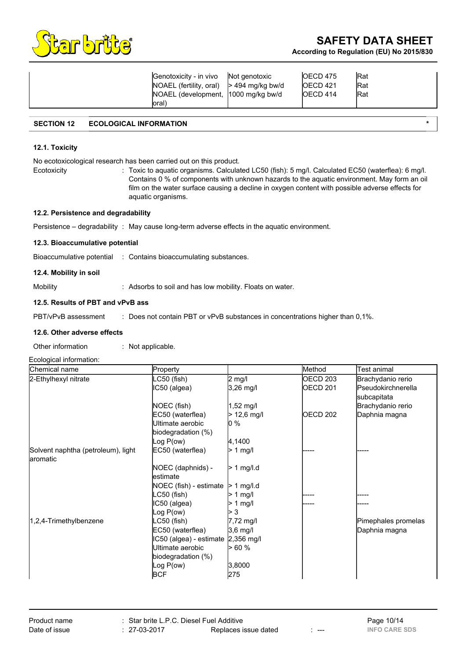

| Genotoxicity - in vivo Not genotoxic<br>$NOAEL$ (fertility, oral) $> 494$ mg/kg bw/d<br>NOAEL (development, 1000 mg/kg bw/d<br>loral) |  | <b>IOECD 475</b><br>IOECD <sub>421</sub><br><b>IOECD 414</b> | <b>Rat</b><br><b>Rat</b><br><b>Rat</b> |
|---------------------------------------------------------------------------------------------------------------------------------------|--|--------------------------------------------------------------|----------------------------------------|
|---------------------------------------------------------------------------------------------------------------------------------------|--|--------------------------------------------------------------|----------------------------------------|

## **SECTION 12 ECOLOGICAL INFORMATION \***

### **12.1. Toxicity**

No ecotoxicological research has been carried out on this product.

Ecotoxicity : Toxic to aquatic organisms. Calculated LC50 (fish): 5 mg/l. Calculated EC50 (waterflea): 6 mg/l. Contains 0 % of components with unknown hazards to the aquatic environment. May form an oil film on the water surface causing a decline in oxygen content with possible adverse effects for aquatic organisms.

#### **12.2. Persistence and degradability**

Persistence – degradability : May cause long-term adverse effects in the aquatic environment.

### **12.3. Bioaccumulative potential**

Bioaccumulative potential : Contains bioaccumulating substances.

### **12.4. Mobility in soil**

Mobility : Adsorbs to soil and has low mobility. Floats on water.

### **12.5. Results of PBT and vPvB ass**

PBT/vPvB assessment : Does not contain PBT or vPvB substances in concentrations higher than 0,1%.

### **12.6. Other adverse effects**

Other information : Not applicable.

### Ecological information:

| Chemical name                      | Property                           |                  | Method          | Test animal         |
|------------------------------------|------------------------------------|------------------|-----------------|---------------------|
| 2-Ethylhexyl nitrate               | C50 (fish)                         | $2 \text{ mg/l}$ | OECD 203        | Brachydanio rerio   |
|                                    | IC50 (algea)                       | 3,26 mg/l        | <b>OECD 201</b> | Pseudokirchnerella  |
|                                    |                                    |                  |                 | subcapitata         |
|                                    | NOEC (fish)                        | 1,52 mg/l        |                 | Brachydanio rerio   |
|                                    | EC50 (waterflea)                   | $>$ 12,6 mg/l    | <b>OECD 202</b> | Daphnia magna       |
|                                    | Ultimate aerobic                   | 0 %              |                 |                     |
|                                    | biodegradation (%)                 |                  |                 |                     |
|                                    | log P(ow)                          | 4,1400           |                 |                     |
| Solvent naphtha (petroleum), light | EC50 (waterflea)                   | $> 1$ mg/l       |                 |                     |
| aromatic                           |                                    |                  |                 |                     |
|                                    | NOEC (daphnids) -                  | $> 1$ mg/l.d     |                 |                     |
|                                    | lestimate                          |                  |                 |                     |
|                                    | NOEC (fish) - estimate             | $>1$ mg/l.d      |                 |                     |
|                                    | LC50 (fish)                        | 1 mg/l           |                 |                     |
|                                    | IC50 (algea)                       | 1 $mg/l$         |                 |                     |
|                                    | log P(ow)                          | 3                |                 |                     |
| 1,2,4-Trimethylbenzene             | LC50 (fish)                        | 7,72 mg/l        |                 | Pimephales promelas |
|                                    | EC50 (waterflea)                   | 3,6 mg/l         |                 | Daphnia magna       |
|                                    | IC50 (algea) - estimate 2,356 mg/l |                  |                 |                     |
|                                    | Ultimate aerobic                   | > 60 %           |                 |                     |
|                                    | biodegradation (%)                 |                  |                 |                     |
|                                    | Log $P(ow)$                        | 3,8000           |                 |                     |
|                                    | <b>BCF</b>                         | 275              |                 |                     |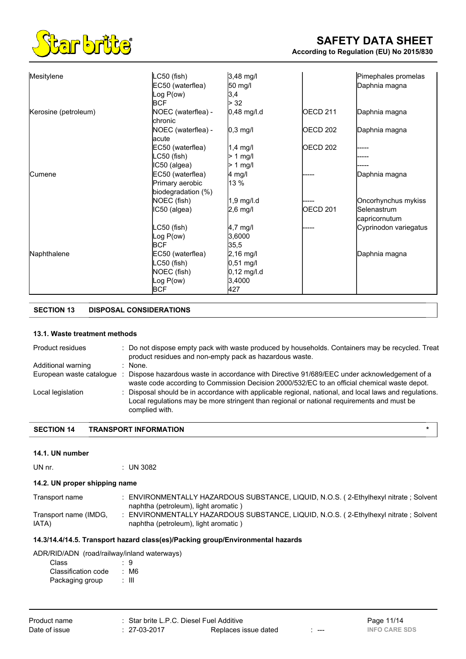

| Mesitylene           | $LC50$ (fish)      | 3,48 mg/l     |                 | Pimephales promelas   |
|----------------------|--------------------|---------------|-----------------|-----------------------|
|                      | EC50 (waterflea)   | 50 mg/l       |                 | Daphnia magna         |
|                      | Log P(ow)          | 3,4           |                 |                       |
|                      | BCF                | > 32          |                 |                       |
| Kerosine (petroleum) | NOEC (waterflea) - | 0,48 mg/l.d   | <b>OECD 211</b> | Daphnia magna         |
|                      | <b>chronic</b>     |               |                 |                       |
|                      | NOEC (waterflea) - | $0,3$ mg/l    | <b>OECD 202</b> | Daphnia magna         |
|                      | lacute             |               |                 |                       |
|                      | EC50 (waterflea)   | $1,4$ mg/l    | <b>OECD 202</b> |                       |
|                      | LC50 (fish)        | $> 1$ mg/l    |                 |                       |
|                      | IC50 (algea)       | $> 1$ mg/l    |                 |                       |
| <b>Cumene</b>        | EC50 (waterflea)   | 4 mg/l        |                 | Daphnia magna         |
|                      | Primary aerobic    | 13 %          |                 |                       |
|                      | biodegradation (%) |               |                 |                       |
|                      | NOEC (fish)        | $1,9$ mg/l.d  |                 | Oncorhynchus mykiss   |
|                      | IC50 (algea)       | $2,6$ mg/l    | <b>OECD 201</b> | <b>Selenastrum</b>    |
|                      |                    |               |                 | capricornutum         |
|                      | LC50 (fish)        | 4,7 mg/l      |                 | Cyprinodon variegatus |
|                      | Log $P(ow)$        | 3,6000        |                 |                       |
|                      | <b>BCF</b>         | 35,5          |                 |                       |
| Naphthalene          | EC50 (waterflea)   | $2,16$ mg/l   |                 | Daphnia magna         |
|                      | LC50 (fish)        | $0,51$ mg/l   |                 |                       |
|                      | NOEC (fish)        | $0,12$ mg/l.d |                 |                       |
|                      | Log $P(ow)$        | 3,4000        |                 |                       |
|                      | <b>BCF</b>         | 427           |                 |                       |

# **SECTION 13 DISPOSAL CONSIDERATIONS**

### **13.1. Waste treatment methods**

| Product residues         | : Do not dispose empty pack with waste produced by households. Containers may be recycled. Treat<br>product residues and non-empty pack as hazardous waste.                                                          |
|--------------------------|----------------------------------------------------------------------------------------------------------------------------------------------------------------------------------------------------------------------|
| Additional warning       | None.                                                                                                                                                                                                                |
| European waste catalogue | Dispose hazardous waste in accordance with Directive 91/689/EEC under acknowledgement of a<br>waste code according to Commission Decision 2000/532/EC to an official chemical waste depot.                           |
| Local legislation        | Disposal should be in accordance with applicable regional, national, and local laws and regulations.<br>Local regulations may be more stringent than regional or national requirements and must be<br>complied with. |

# **SECTION 14 TRANSPORT INFORMATION \***

### **14.1. UN number**

| UN nr. | $:$ UN 3082 |
|--------|-------------|
|        |             |

# **14.2. UN proper shipping name**

| Transport name        | ENVIRONMENTALLY HAZARDOUS SUBSTANCE, LIQUID, N.O.S. (2-Ethylhexyl nitrate ; Solvent<br>naphtha (petroleum), light aromatic) |
|-----------------------|-----------------------------------------------------------------------------------------------------------------------------|
| Transport name (IMDG, | ENVIRONMENTALLY HAZARDOUS SUBSTANCE, LIQUID, N.O.S. (2-Ethylhexyl nitrate ; Solvent                                         |
| IATA)                 | naphtha (petroleum), light aromatic)                                                                                        |

### **14.3/14.4/14.5. Transport hazard class(es)/Packing group/Environmental hazards**

| ADR/RID/ADN (road/railway/inland waterways) |  |
|---------------------------------------------|--|
|                                             |  |

| Class               | . 9   |
|---------------------|-------|
| Classification code | : M6  |
| Packaging group     | : III |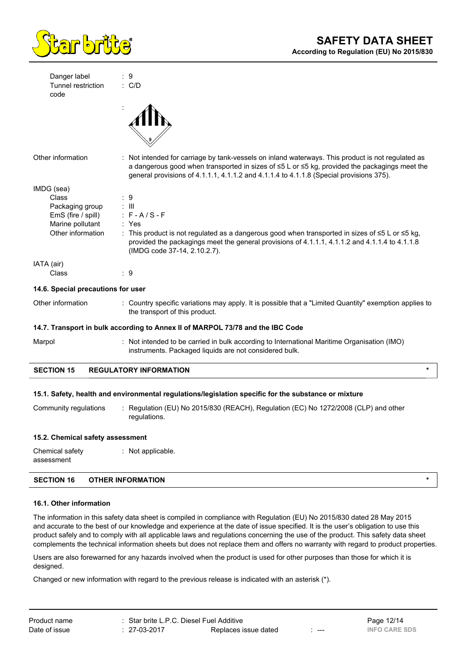

| Danger label                       | : 9                                                                                                                                                                                                                                                                                           |
|------------------------------------|-----------------------------------------------------------------------------------------------------------------------------------------------------------------------------------------------------------------------------------------------------------------------------------------------|
| Tunnel restriction<br>code         | $\therefore$ C/D                                                                                                                                                                                                                                                                              |
|                                    |                                                                                                                                                                                                                                                                                               |
| Other information                  | : Not intended for carriage by tank-vessels on inland waterways. This product is not regulated as<br>a dangerous good when transported in sizes of ≤5 L or ≤5 kg, provided the packagings meet the<br>general provisions of 4.1.1.1, 4.1.1.2 and 4.1.1.4 to 4.1.1.8 (Special provisions 375). |
| IMDG (sea)                         |                                                                                                                                                                                                                                                                                               |
| Class                              | : 9                                                                                                                                                                                                                                                                                           |
| Packaging group                    | $\therefore$ III                                                                                                                                                                                                                                                                              |
| EmS (fire / spill)                 | $: F - A / S - F$                                                                                                                                                                                                                                                                             |
| Marine pollutant                   | : Yes                                                                                                                                                                                                                                                                                         |
| Other information                  | : This product is not regulated as a dangerous good when transported in sizes of $\leq 5$ L or $\leq 5$ kg,<br>provided the packagings meet the general provisions of 4.1.1.1, 4.1.1.2 and 4.1.1.4 to 4.1.1.8<br>(IMDG code 37-14, 2.10.2.7).                                                 |
| IATA (air)                         |                                                                                                                                                                                                                                                                                               |
| Class                              | ∶9                                                                                                                                                                                                                                                                                            |
| 14.6. Special precautions for user |                                                                                                                                                                                                                                                                                               |
| Other information                  | : Country specific variations may apply. It is possible that a "Limited Quantity" exemption applies to<br>the transport of this product.                                                                                                                                                      |
|                                    | 14.7. Transport in bulk according to Annex II of MARPOL 73/78 and the IBC Code                                                                                                                                                                                                                |
| Marpol                             | : Not intended to be carried in bulk according to International Maritime Organisation (IMO)<br>instruments. Packaged liquids are not considered bulk.                                                                                                                                         |

# **SECTION 15 REGULATORY INFORMATION \***

### **15.1. Safety, health and environmental regulations/legislation specific for the substance or mixture**

Community regulations : Regulation (EU) No 2015/830 (REACH), Regulation (EC) No 1272/2008 (CLP) and other regulations.

#### **15.2. Chemical safety assessment**

Chemical safety assessment : Not applicable.

### **SECTION 16 OTHER INFORMATION \***

### **16.1. Other information**

The information in this safety data sheet is compiled in compliance with Regulation (EU) No 2015/830 dated 28 May 2015 and accurate to the best of our knowledge and experience at the date of issue specified. It is the user's obligation to use this product safely and to comply with all applicable laws and regulations concerning the use of the product. This safety data sheet complements the technical information sheets but does not replace them and offers no warranty with regard to product properties.

Users are also forewarned for any hazards involved when the product is used for other purposes than those for which it is designed.

Changed or new information with regard to the previous release is indicated with an asterisk (\*).

| Product name  | : Star brite L.P.C. Diesel Fuel Additive |                      | Page 12/14           |
|---------------|------------------------------------------|----------------------|----------------------|
| Date of issue | $: 27-03-2017$                           | Replaces issue dated | <b>INFO CARE SDS</b> |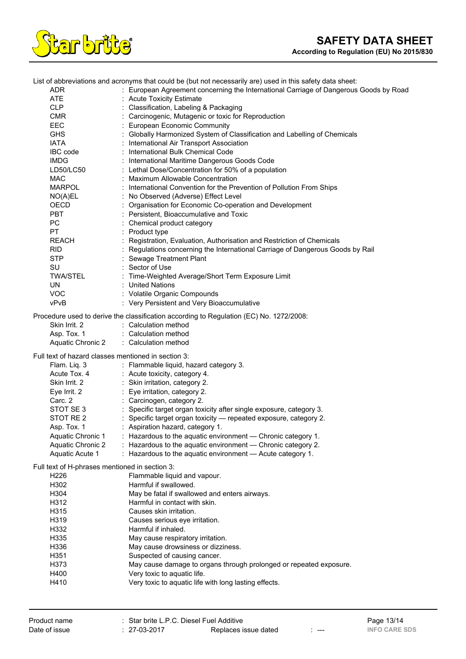

List of abbreviations and acronyms that could be (but not necessarily are) used in this safety data sheet:

| ADR |  | European Agreement concerning the International Carriage of Dangerous Goods by Road |  |
|-----|--|-------------------------------------------------------------------------------------|--|
|     |  |                                                                                     |  |
|     |  |                                                                                     |  |

| ADR                                                 | : European Agreement concerning the International Carriage of Dangerous Goods b         |
|-----------------------------------------------------|-----------------------------------------------------------------------------------------|
| ATE.                                                | : Acute Toxicity Estimate                                                               |
| <b>CLP</b>                                          | : Classification, Labeling & Packaging                                                  |
| <b>CMR</b>                                          | : Carcinogenic, Mutagenic or toxic for Reproduction                                     |
| EEC                                                 | : European Economic Community                                                           |
| <b>GHS</b>                                          | : Globally Harmonized System of Classification and Labelling of Chemicals               |
| <b>IATA</b>                                         | : International Air Transport Association                                               |
| IBC code                                            | : International Bulk Chemical Code                                                      |
| <b>IMDG</b>                                         | : International Maritime Dangerous Goods Code                                           |
| LD50/LC50                                           | : Lethal Dose/Concentration for 50% of a population                                     |
| <b>MAC</b>                                          | : Maximum Allowable Concentration                                                       |
| <b>MARPOL</b>                                       | : International Convention for the Prevention of Pollution From Ships                   |
| NO(A)EL                                             | : No Observed (Adverse) Effect Level                                                    |
| <b>OECD</b>                                         | : Organisation for Economic Co-operation and Development                                |
| <b>PBT</b>                                          | : Persistent, Bioaccumulative and Toxic                                                 |
| PC                                                  | : Chemical product category                                                             |
| PT                                                  | : Product type                                                                          |
| REACH                                               | : Registration, Evaluation, Authorisation and Restriction of Chemicals                  |
| <b>RID</b>                                          | : Regulations concerning the International Carriage of Dangerous Goods by Rail          |
| <b>STP</b>                                          | : Sewage Treatment Plant                                                                |
| SU                                                  | : Sector of Use                                                                         |
| <b>TWA/STEL</b>                                     | : Time-Weighted Average/Short Term Exposure Limit                                       |
| UN.                                                 | : United Nations                                                                        |
| <b>VOC</b>                                          | : Volatile Organic Compounds                                                            |
| vPvB                                                | : Very Persistent and Very Bioaccumulative                                              |
|                                                     | Procedure used to derive the classification according to Regulation (EC) No. 1272/2008: |
| Skin Irrit. 2                                       | : Calculation method                                                                    |
| Asp. Tox. 1                                         | : Calculation method                                                                    |
| <b>Aquatic Chronic 2</b>                            | : Calculation method                                                                    |
|                                                     |                                                                                         |
| Full text of hazard classes mentioned in section 3: |                                                                                         |
| Flam. Liq. 3                                        | : Flammable liquid, hazard category 3.                                                  |
|                                                     | Acute Tox. 4 : Acute toxicity, category 4.                                              |
| Skin Irrit. 2                                       | : Skin irritation, category 2.                                                          |
| Eye Irrit. 2                                        | : Eye irritation, category 2.                                                           |
| Carc. 2<br>STOT SE 3                                | : Carcinogen, category 2.                                                               |
|                                                     | : Specific target organ toxicity after single exposure, category 3.                     |
| STOT RE 2                                           | : Specific target organ toxicity - repeated exposure, category 2.                       |
| Asp. Tox. 1                                         | : Aspiration hazard, category 1.                                                        |
|                                                     | Aquatic Chronic 1 : Hazardous to the aquatic environment - Chronic category 1.          |
| Aquatic Chronic 2                                   | : Hazardous to the aquatic environment - Chronic category 2.                            |

Full text of H-phrases mentioned in section 3:

| H <sub>226</sub> | Flammable liquid and vapour.                                       |
|------------------|--------------------------------------------------------------------|
| H302             | Harmful if swallowed.                                              |
| H <sub>304</sub> | May be fatal if swallowed and enters airways.                      |
| H312             | Harmful in contact with skin.                                      |
| H315             | Causes skin irritation.                                            |
| H <sub>319</sub> | Causes serious eye irritation.                                     |
| H332             | Harmful if inhaled.                                                |
| H335             | May cause respiratory irritation.                                  |
| H336             | May cause drowsiness or dizziness.                                 |
| H <sub>351</sub> | Suspected of causing cancer.                                       |
| H373             | May cause damage to organs through prolonged or repeated exposure. |
| H400             | Very toxic to aquatic life.                                        |
| H410             | Very toxic to aquatic life with long lasting effects.              |
|                  |                                                                    |

: Hazardous to the aquatic environment — Acute category 1.

Aquatic Chronic 2 : Hazardous to the aquatic environment — Chronic category 2.<br>Aquatic Acute 1 : Hazardous to the aquatic environment — Acute category 1.